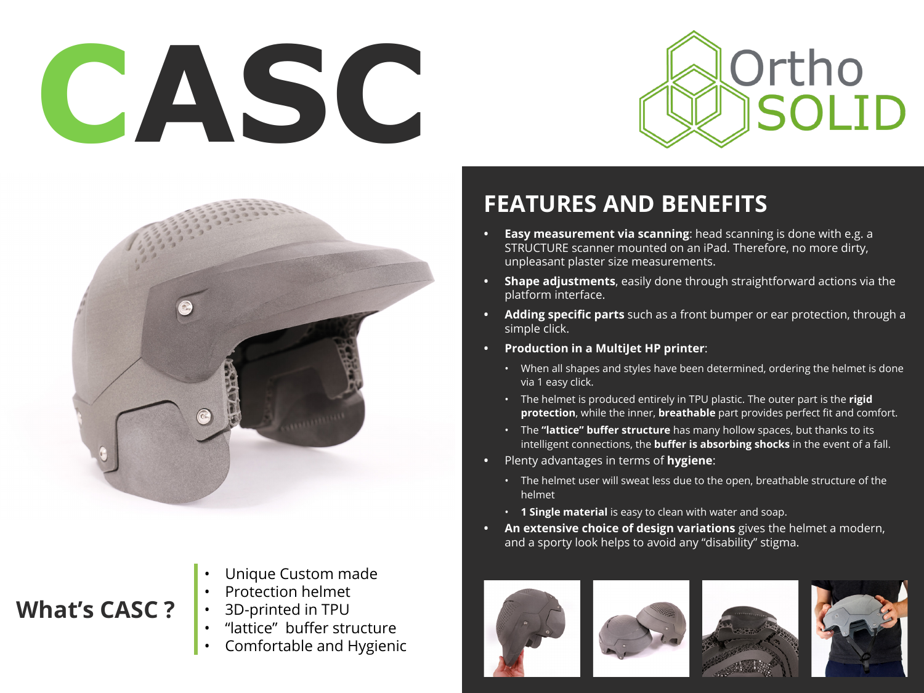# **CASC**





#### **What's CASC ?**

- Unique Custom made
- Protection helmet
- 3D-printed in TPU
- "lattice" buffer structure
- Comfortable and Hygienic

### **FEATURES AND BENEFITS**

- **• Easy measurement via scanning**: head scanning is done with e.g. a STRUCTURE scanner mounted on an iPad. Therefore, no more dirty, unpleasant plaster size measurements.
- **• Shape adjustments**, easily done through straightforward actions via the platform interface.
- **• Adding specific parts** such as a front bumper or ear protection, through a simple click.
- **• Production in a MultiJet HP printer**:
	- When all shapes and styles have been determined, ordering the helmet is done via 1 easy click.
	- The helmet is produced entirely in TPU plastic. The outer part is the **rigid protection**, while the inner, **breathable** part provides perfect fit and comfort.
	- The **"lattice" buffer structure** has many hollow spaces, but thanks to its intelligent connections, the **buffer is absorbing shocks** in the event of a fall.
- **•** Plenty advantages in terms of **hygiene**:
	- The helmet user will sweat less due to the open, breathable structure of the helmet
	- **1 Single material** is easy to clean with water and soap.
- **• An extensive choice of design variations** gives the helmet a modern, and a sporty look helps to avoid any "disability" stigma.